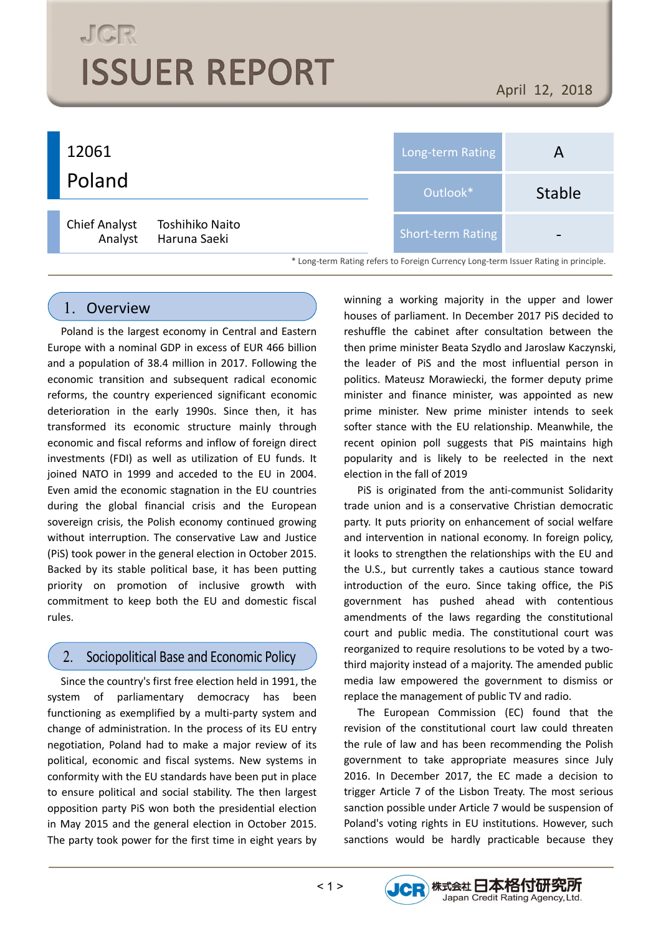# **JGR ISSUER REPORT**

April 12, 2018

#### 12061 Poland Long-term Rating **A** Outlook\* Stable Short-term Rating Chief Analyst Toshihiko Naito Analyst Haruna Saeki \* Long-term Rating refers to Foreign Currency Long-term Issuer Rating in principle.

#### 1. Overview

Poland is the largest economy in Central and Eastern Europe with a nominal GDP in excess of EUR 466 billion and a population of 38.4 million in 2017. Following the economic transition and subsequent radical economic reforms, the country experienced significant economic deterioration in the early 1990s. Since then, it has transformed its economic structure mainly through economic and fiscal reforms and inflow of foreign direct investments (FDI) as well as utilization of EU funds. It joined NATO in 1999 and acceded to the EU in 2004. Even amid the economic stagnation in the EU countries during the global financial crisis and the European sovereign crisis, the Polish economy continued growing without interruption. The conservative Law and Justice (PiS) took power in the general election in October 2015. Backed by its stable political base, it has been putting priority on promotion of inclusive growth with commitment to keep both the EU and domestic fiscal rules.

#### $2.$ Sociopolitical Base and Economic Policy

Since the country's first free election held in 1991, the system of parliamentary democracy has been functioning as exemplified by a multi-party system and change of administration. In the process of its EU entry negotiation, Poland had to make a major review of its political, economic and fiscal systems. New systems in conformity with the EU standards have been put in place to ensure political and social stability. The then largest opposition party PiS won both the presidential election in May 2015 and the general election in October 2015. The party took power for the first time in eight years by winning a working majority in the upper and lower houses of parliament. In December 2017 PiS decided to reshuffle the cabinet after consultation between the then prime minister Beata Szydlo and Jaroslaw Kaczynski, the leader of PiS and the most influential person in politics. Mateusz Morawiecki, the former deputy prime minister and finance minister, was appointed as new prime minister. New prime minister intends to seek softer stance with the EU relationship. Meanwhile, the recent opinion poll suggests that PiS maintains high popularity and is likely to be reelected in the next election in the fall of 2019

PiS is originated from the anti-communist Solidarity trade union and is a conservative Christian democratic party. It puts priority on enhancement of social welfare and intervention in national economy. In foreign policy, it looks to strengthen the relationships with the EU and the U.S., but currently takes a cautious stance toward introduction of the euro. Since taking office, the PiS government has pushed ahead with contentious amendments of the laws regarding the constitutional court and public media. The constitutional court was reorganized to require resolutions to be voted by a twothird majority instead of a majority. The amended public media law empowered the government to dismiss or replace the management of public TV and radio.

The European Commission (EC) found that the revision of the constitutional court law could threaten the rule of law and has been recommending the Polish government to take appropriate measures since July 2016. In December 2017, the EC made a decision to trigger Article 7 of the Lisbon Treaty. The most serious sanction possible under Article 7 would be suspension of Poland's voting rights in EU institutions. However, such sanctions would be hardly practicable because they

JCR 株式会社日本格付研究所

Japan Credit Rating Agency, Ltd.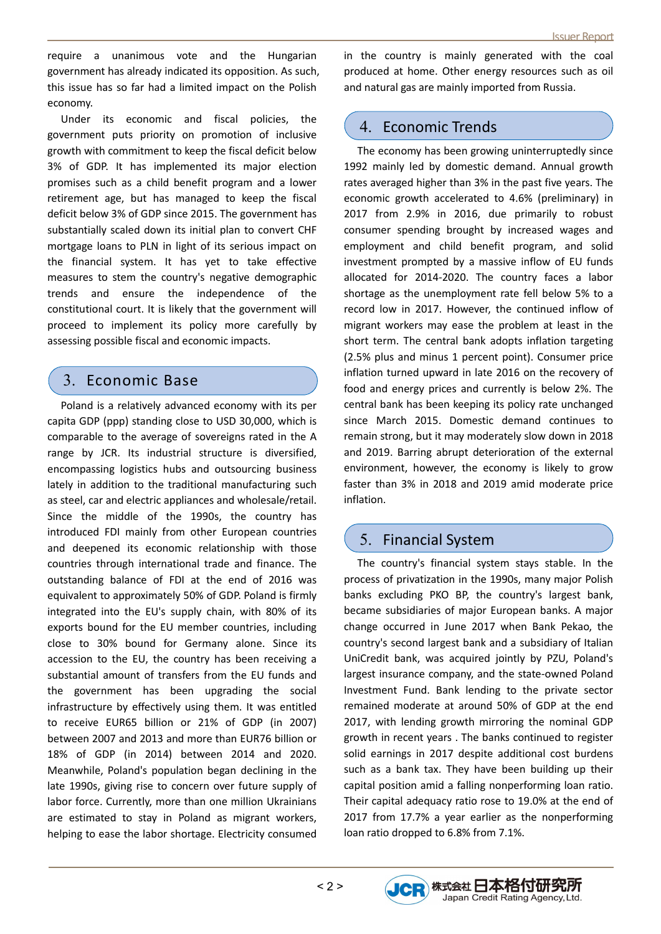require a unanimous vote and the Hungarian government has already indicated its opposition. As such, this issue has so far had a limited impact on the Polish economy.

Under its economic and fiscal policies, the government puts priority on promotion of inclusive growth with commitment to keep the fiscal deficit below 3% of GDP. It has implemented its major election promises such as a child benefit program and a lower retirement age, but has managed to keep the fiscal deficit below 3% of GDP since 2015. The government has substantially scaled down its initial plan to convert CHF mortgage loans to PLN in light of its serious impact on the financial system. It has yet to take effective measures to stem the country's negative demographic trends and ensure the independence of the constitutional court. It is likely that the government will proceed to implement its policy more carefully by assessing possible fiscal and economic impacts.

#### 3. Economic Base

Poland is a relatively advanced economy with its per capita GDP (ppp) standing close to USD 30,000, which is comparable to the average of sovereigns rated in the A range by JCR. Its industrial structure is diversified, encompassing logistics hubs and outsourcing business lately in addition to the traditional manufacturing such as steel, car and electric appliances and wholesale/retail. Since the middle of the 1990s, the country has introduced FDI mainly from other European countries and deepened its economic relationship with those countries through international trade and finance. The outstanding balance of FDI at the end of 2016 was equivalent to approximately 50% of GDP. Poland is firmly integrated into the EU's supply chain, with 80% of its exports bound for the EU member countries, including close to 30% bound for Germany alone. Since its accession to the EU, the country has been receiving a substantial amount of transfers from the EU funds and the government has been upgrading the social infrastructure by effectively using them. It was entitled to receive EUR65 billion or 21% of GDP (in 2007) between 2007 and 2013 and more than EUR76 billion or 18% of GDP (in 2014) between 2014 and 2020. Meanwhile, Poland's population began declining in the late 1990s, giving rise to concern over future supply of labor force. Currently, more than one million Ukrainians are estimated to stay in Poland as migrant workers, helping to ease the labor shortage. Electricity consumed

in the country is mainly generated with the coal produced at home. Other energy resources such as oil and natural gas are mainly imported from Russia.

#### 4. Economic Trends

The economy has been growing uninterruptedly since 1992 mainly led by domestic demand. Annual growth rates averaged higher than 3% in the past five years. The economic growth accelerated to 4.6% (preliminary) in 2017 from 2.9% in 2016, due primarily to robust consumer spending brought by increased wages and employment and child benefit program, and solid investment prompted by a massive inflow of EU funds allocated for 2014-2020. The country faces a labor shortage as the unemployment rate fell below 5% to a record low in 2017. However, the continued inflow of migrant workers may ease the problem at least in the short term. The central bank adopts inflation targeting (2.5% plus and minus 1 percent point). Consumer price inflation turned upward in late 2016 on the recovery of food and energy prices and currently is below 2%. The central bank has been keeping its policy rate unchanged since March 2015. Domestic demand continues to remain strong, but it may moderately slow down in 2018 and 2019. Barring abrupt deterioration of the external environment, however, the economy is likely to grow faster than 3% in 2018 and 2019 amid moderate price inflation.

#### 5. Financial System

The country's financial system stays stable. In the process of privatization in the 1990s, many major Polish banks excluding PKO BP, the country's largest bank, became subsidiaries of major European banks. A major change occurred in June 2017 when Bank Pekao, the country's second largest bank and a subsidiary of Italian UniCredit bank, was acquired jointly by PZU, Poland's largest insurance company, and the state-owned Poland Investment Fund. Bank lending to the private sector remained moderate at around 50% of GDP at the end 2017, with lending growth mirroring the nominal GDP growth in recent years . The banks continued to register solid earnings in 2017 despite additional cost burdens such as a bank tax. They have been building up their capital position amid a falling nonperforming loan ratio. Their capital adequacy ratio rose to 19.0% at the end of 2017 from 17.7% a year earlier as the nonperforming loan ratio dropped to 6.8% from 7.1%.

JCR 株式会社日本格付研究所

Japan Credit Rating Agency, Ltd.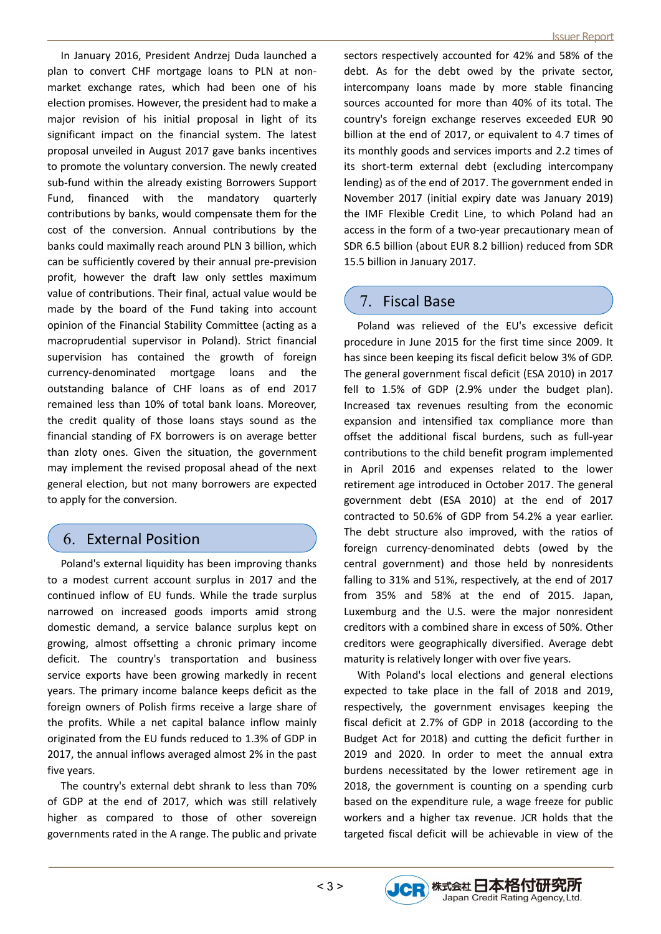In January 2016, President Andrzej Duda launched a plan to convert CHF mortgage loans to PLN at nonmarket exchange rates, which had been one of his election promises. However, the president had to make a major revision of his initial proposal in light of its significant impact on the financial system. The latest proposal unveiled in August 2017 gave banks incentives to promote the voluntary conversion. The newly created sub-fund within the already existing Borrowers Support Fund, financed with the mandatory quarterly contributions by banks, would compensate them for the cost of the conversion. Annual contributions by the banks could maximally reach around PLN 3 billion, which can be sufficiently covered by their annual pre-prevision profit, however the draft law only settles maximum value of contributions. Their final, actual value would be made by the board of the Fund taking into account opinion of the Financial Stability Committee (acting as a macroprudential supervisor in Poland). Strict financial supervision has contained the growth of foreign currency-denominated mortgage loans and the outstanding balance of CHF loans as of end 2017 remained less than 10% of total bank loans. Moreover, the credit quality of those loans stays sound as the financial standing of FX borrowers is on average better than zloty ones. Given the situation, the government may implement the revised proposal ahead of the next general election, but not many borrowers are expected to apply for the conversion.

#### 6. External Position

Poland's external liquidity has been improving thanks to a modest current account surplus in 2017 and the continued inflow of EU funds. While the trade surplus narrowed on increased goods imports amid strong domestic demand, a service balance surplus kept on growing, almost offsetting a chronic primary income deficit. The country's transportation and business service exports have been growing markedly in recent years. The primary income balance keeps deficit as the foreign owners of Polish firms receive a large share of the profits. While a net capital balance inflow mainly originated from the EU funds reduced to 1.3% of GDP in 2017, the annual inflows averaged almost 2% in the past five years.

The country's external debt shrank to less than 70% of GDP at the end of 2017, which was still relatively higher as compared to those of other sovereign governments rated in the A range. The public and private

sectors respectively accounted for 42% and 58% of the debt. As for the debt owed by the private sector, intercompany loans made by more stable financing sources accounted for more than 40% of its total. The country's foreign exchange reserves exceeded EUR 90 billion at the end of 2017, or equivalent to 4.7 times of its monthly goods and services imports and 2.2 times of its short-term external debt (excluding intercompany lending) as of the end of 2017. The government ended in November 2017 (initial expiry date was January 2019) the IMF Flexible Credit Line, to which Poland had an access in the form of a two-year precautionary mean of SDR 6.5 billion (about EUR 8.2 billion) reduced from SDR 15.5 billion in January 2017.

#### 7. Fiscal Base

Poland was relieved of the EU's excessive deficit procedure in June 2015 for the first time since 2009. It has since been keeping its fiscal deficit below 3% of GDP. The general government fiscal deficit (ESA 2010) in 2017 fell to 1.5% of GDP (2.9% under the budget plan). Increased tax revenues resulting from the economic expansion and intensified tax compliance more than offset the additional fiscal burdens, such as full-year contributions to the child benefit program implemented in April 2016 and expenses related to the lower retirement age introduced in October 2017. The general government debt (ESA 2010) at the end of 2017 contracted to 50.6% of GDP from 54.2% a year earlier. The debt structure also improved, with the ratios of foreign currency-denominated debts (owed by the central government) and those held by nonresidents falling to 31% and 51%, respectively, at the end of 2017 from 35% and 58% at the end of 2015. Japan, Luxemburg and the U.S. were the major nonresident creditors with a combined share in excess of 50%. Other creditors were geographically diversified. Average debt maturity is relatively longer with over five years.

With Poland's local elections and general elections expected to take place in the fall of 2018 and 2019, respectively, the government envisages keeping the fiscal deficit at 2.7% of GDP in 2018 (according to the Budget Act for 2018) and cutting the deficit further in 2019 and 2020. In order to meet the annual extra burdens necessitated by the lower retirement age in 2018, the government is counting on a spending curb based on the expenditure rule, a wage freeze for public workers and a higher tax revenue. JCR holds that the targeted fiscal deficit will be achievable in view of the

JCR 株式会社日本格付研究所

Japan Credit Rating Agency, Ltd.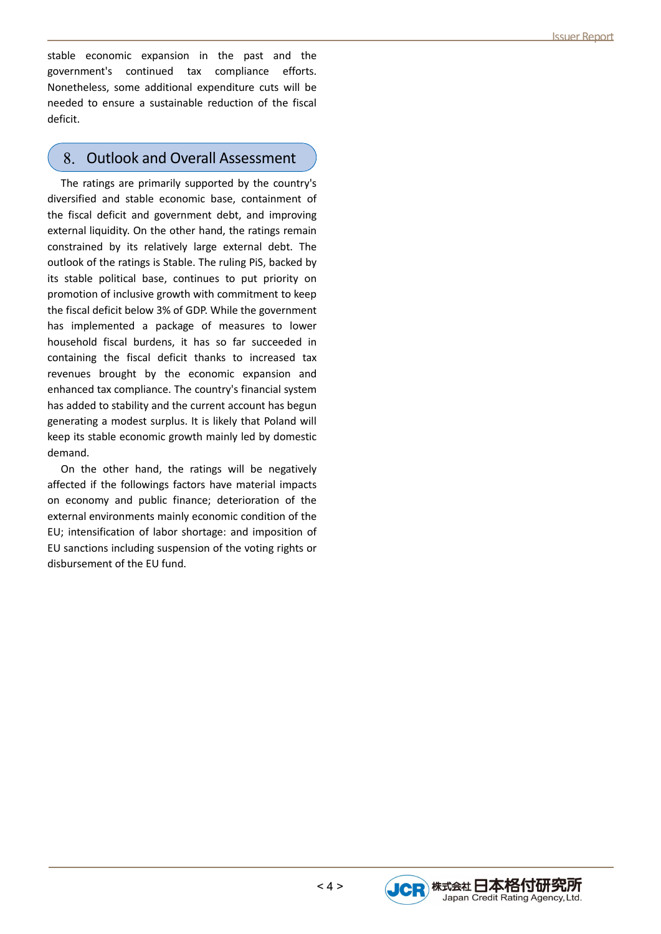stable economic expansion in the past and the government's continued tax compliance efforts. Nonetheless, some additional expenditure cuts will be needed to ensure a sustainable reduction of the fiscal deficit.

#### 8. Outlook and Overall Assessment

The ratings are primarily supported by the country's diversified and stable economic base, containment of the fiscal deficit and government debt, and improving external liquidity. On the other hand, the ratings remain constrained by its relatively large external debt. The outlook of the ratings is Stable. The ruling PiS, backed by its stable political base, continues to put priority on promotion of inclusive growth with commitment to keep the fiscal deficit below 3% of GDP. While the government has implemented a package of measures to lower household fiscal burdens, it has so far succeeded in containing the fiscal deficit thanks to increased tax revenues brought by the economic expansion and enhanced tax compliance. The country's financial system has added to stability and the current account has begun generating a modest surplus. It is likely that Poland will keep its stable economic growth mainly led by domestic demand.

On the other hand, the ratings will be negatively affected if the followings factors have material impacts on economy and public finance; deterioration of the external environments mainly economic condition of the EU; intensification of labor shortage: and imposition of EU sanctions including suspension of the voting rights or disbursement of the EU fund.

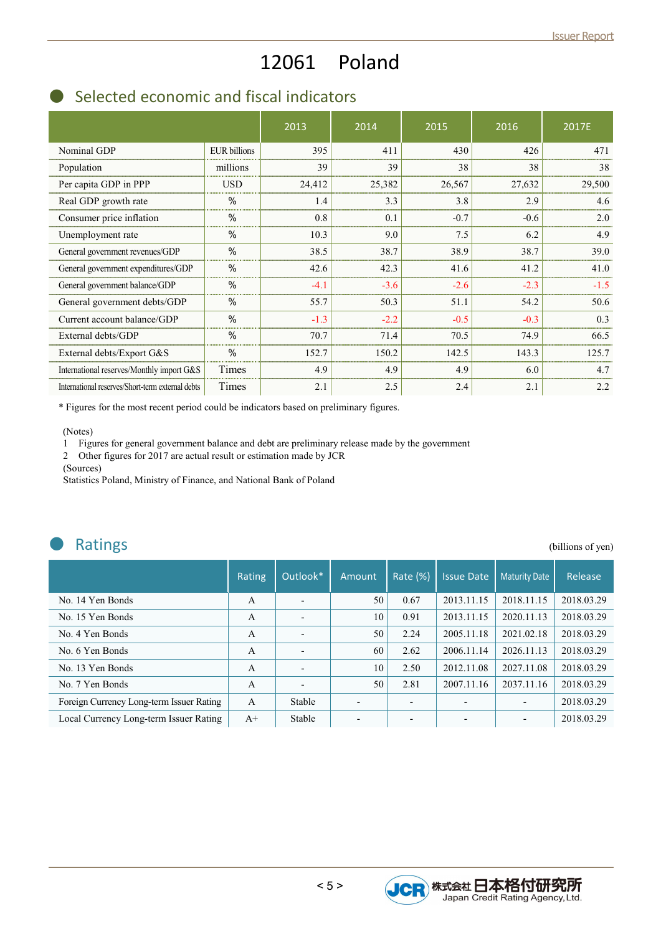## 12061 Poland

## ● Selected economic and fiscal indicators

|                                                  |                     | 2013   | 2014   | 2015   | 2016   | 2017E  |
|--------------------------------------------------|---------------------|--------|--------|--------|--------|--------|
| Nominal GDP                                      | <b>EUR</b> billions | 395    | 411    | 430    | 426    | 471    |
| Population                                       | millions            | 39     | 39     | 38     | 38     | 38     |
| Per capita GDP in PPP                            | <b>USD</b>          | 24,412 | 25,382 | 26,567 | 27,632 | 29,500 |
| Real GDP growth rate                             | $\%$                | 1.4    | 3.3    | 3.8    | 2.9    | 4.6    |
| Consumer price inflation                         | $\%$                | 0.8    | 0.1    | $-0.7$ | $-0.6$ | 2.0    |
| Unemployment rate                                | $\%$                | 10.3   | 9.0    | 7.5    | 6.2    | 4.9    |
| General government revenues/GDP                  | $\%$                | 38.5   | 38.7   | 38.9   | 38.7   | 39.0   |
| General government expenditures/GDP              | $\%$                | 42.6   | 42.3   | 41.6   | 41.2   | 41.0   |
| General government balance/GDP                   | $\%$                | $-4.1$ | $-3.6$ | $-2.6$ | $-2.3$ | $-1.5$ |
| General government debts/GDP                     | %                   | 55.7   | 50.3   | 51.1   | 54.2   | 50.6   |
| Current account balance/GDP                      | %                   | $-1.3$ | $-2.2$ | $-0.5$ | $-0.3$ | 0.3    |
| External debts/GDP                               | %                   | 70.7   | 71.4   | 70.5   | 74.9   | 66.5   |
| External debts/Export G&S                        | $\%$                | 152.7  | 150.2  | 142.5  | 143.3  | 125.7  |
| International reserves/Monthly import G&S        | Times               | 4.9    | 4.9    | 4.9    | 6.0    | 4.7    |
| International reserves/Short-term external debts | Times               | 2.1    | 2.5    | 2.4    | 2.1    | 2.2    |

\* Figures for the most recent period could be indicators based on preliminary figures.

(Notes)

1 Figures for general government balance and debt are preliminary release made by the government

2 Other figures for 2017 are actual result or estimation made by JCR

(Sources)

Statistics Poland, Ministry of Finance, and National Bank of Poland

| <b>Ratings</b>                           |               |                          |                          |          |                   |                      | (billions of yen) |
|------------------------------------------|---------------|--------------------------|--------------------------|----------|-------------------|----------------------|-------------------|
|                                          | <b>Rating</b> | Outlook*                 | Amount                   | Rate (%) | <b>Issue Date</b> | <b>Maturity Date</b> | Release           |
| No. 14 Yen Bonds                         | A             | $\overline{a}$           | 50                       | 0.67     | 2013.11.15        | 2018.11.15           | 2018.03.29        |
| No. 15 Yen Bonds                         | A             | $\overline{\phantom{0}}$ | 10                       | 0.91     | 2013.11.15        | 2020.11.13           | 2018.03.29        |
| No. 4 Yen Bonds                          | A             |                          | 50                       | 2.24     | 2005.11.18        | 2021.02.18           | 2018.03.29        |
| No. 6 Yen Bonds                          | A             |                          | 60                       | 2.62     | 2006.11.14        | 2026.11.13           | 2018.03.29        |
| No. 13 Yen Bonds                         | A             | $\overline{a}$           | 10                       | 2.50     | 2012.11.08        | 2027.11.08           | 2018.03.29        |
| No. 7 Yen Bonds                          | A             |                          | 50                       | 2.81     | 2007.11.16        | 2037.11.16           | 2018.03.29        |
| Foreign Currency Long-term Issuer Rating | A             | Stable                   | $\overline{\phantom{0}}$ |          |                   |                      | 2018.03.29        |
| Local Currency Long-term Issuer Rating   | $A+$          | Stable                   |                          |          |                   |                      | 2018.03.29        |